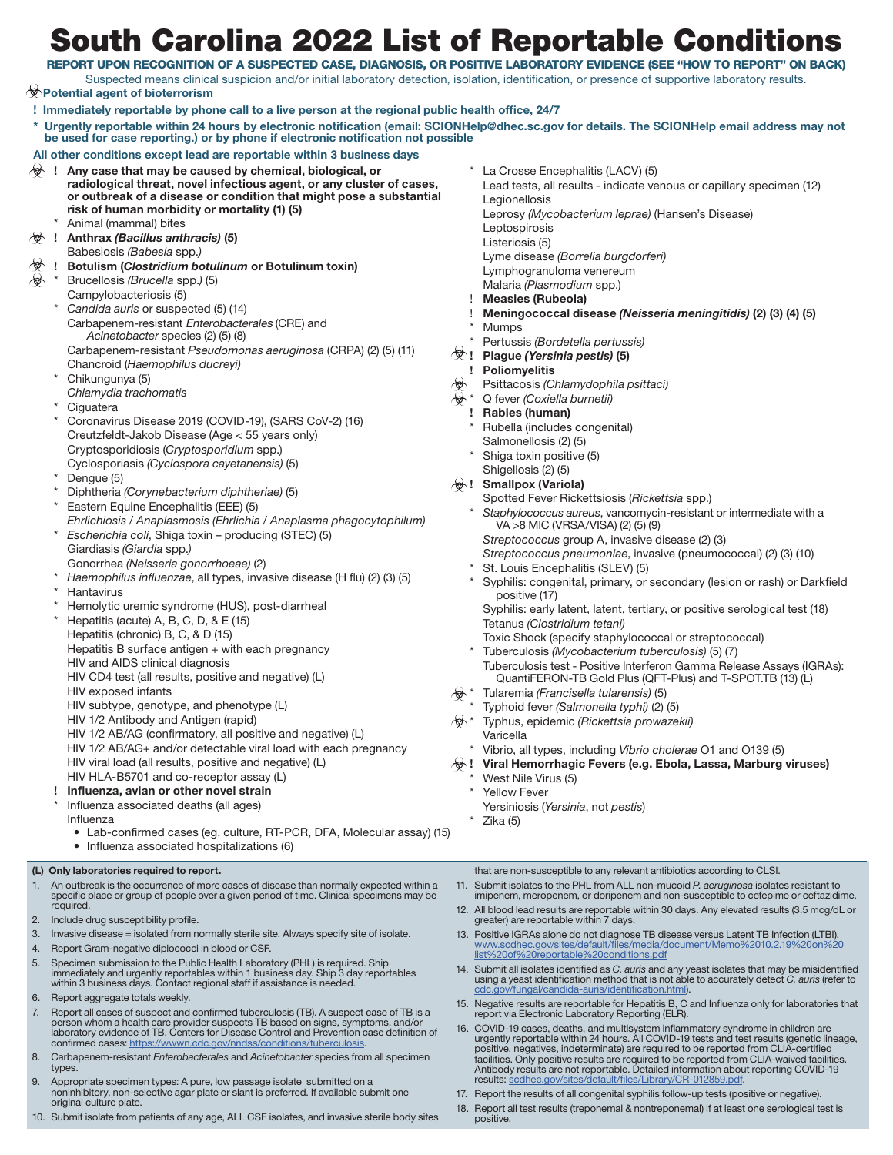## South Carolina 2022 List of Reportable Conditions

REPORT UPON RECOGNITION OF A SUSPECTED CASE, DIAGNOSIS, OR POSITIVE LABORATORY EVIDENCE (SEE "HOW TO REPORT" ON BACK) Suspected means clinical suspicion and/or initial laboratory detection, isolation, identification, or presence of supportive laboratory results.

 **Potential agent of bioterrorism**

- **! Immediately reportable by phone call to a live person at the regional public health office, 24/7**
- **\* Urgently reportable within 24 hours by electronic notification (email: SCIONHelp@dhec.sc.gov for details. The SCIONHelp email address may not be used for case reporting.) or by phone if electronic notification not possible**

## **All other conditions except lead are reportable within 3 business days**

- $\forall$  ! Any case that may be caused by chemical, biological, or **radiological threat, novel infectious agent, or any cluster of cases, or outbreak of a disease or condition that might pose a substantial risk of human morbidity or mortality (1) (5)**  Animal (mammal) bites
- **! Anthrax** *(Bacillus anthracis)* **(5)**
- Babesiosis *(Babesia* spp.*)*
- **! Botulism (***Clostridium botulinum* **or Botulinum toxin)**
- \* Brucellosis *(Brucella* spp.*)* (5)
	- Campylobacteriosis (5)
	- Candida auris or suspected (5) (14) Carbapenem-resistant Enterobacterales (CRE) and *Acinetobacter* species (2) (5) (8) Carbapenem-resistant *Pseudomonas aeruginosa* (CRPA) (2) (5) (11) Chancroid (*Haemophilus ducreyi)*
	- Chikungunya (5)
	- *Chlamydia trachomatis*
	- Ciguatera
	- Coronavirus Disease 2019 (COVID-19), (SARS CoV-2) (16) Creutzfeldt-Jakob Disease (Age < 55 years only) Cryptosporidiosis (*Cryptosporidium* spp.) Cyclosporiasis *(Cyclospora cayetanensis)* (5)
	- Dengue (5)
	- \* Diphtheria *(Corynebacterium diphtheriae)* (5)
	- Eastern Equine Encephalitis (EEE) (5) *Ehrlichiosis / Anaplasmosis (Ehrlichia / Anaplasma phagocytophilum)*
	- \* *Escherichia coli*, Shiga toxin producing (STEC) (5) Giardiasis *(Giardia* spp.*)*
	- Gonorrhea *(Neisseria gonorrhoeae)* (2)
	- \* *Haemophilus influenzae*, all types, invasive disease (H flu) (2) (3) (5) **Hantavirus**
	- Hemolytic uremic syndrome (HUS), post-diarrheal
	- Hepatitis (acute) A, B, C, D, & E (15)
	- Hepatitis (chronic) B, C, & D (15)
	- Hepatitis B surface antigen + with each pregnancy
	- HIV and AIDS clinical diagnosis
	- HIV CD4 test (all results, positive and negative) (L)
	- HIV exposed infants
	- HIV subtype, genotype, and phenotype (L)
	- HIV 1/2 Antibody and Antigen (rapid)
	- HIV 1/2 AB/AG (confirmatory, all positive and negative) (L)
	- HIV 1/2 AB/AG+ and/or detectable viral load with each pregnancy
	- HIV viral load (all results, positive and negative) (L)

## HIV HLA-B5701 and co-receptor assay (L)

- **! Influenza, avian or other novel strain** Influenza associated deaths (all ages)
	- Influenza
	- Lab-confirmed cases (eg. culture, RT-PCR, DFA, Molecular assay) (15) • Influenza associated hospitalizations (6)

#### **(L) Only laboratories required to report.**

- An outbreak is the occurrence of more cases of disease than normally expected within a specific place or group of people over a given period of time. Clinical specimens may be required.
- 2. Include drug susceptibility profile.
- 3. Invasive disease = isolated from normally sterile site. Always specify site of isolate.
- 4. Report Gram-negative diplococci in blood or CSF.
- 5. Specimen submission to the Public Health Laboratory (PHL) is required. Ship immediately and urgently reportables within 1 business day. Ship 3 day reportables within 3 business days. Contact regional staff if assistance is needed.
- 6. Report aggregate totals weekly.
- 7. Report all cases of suspect and confirmed tuberculosis (TB). A suspect case of TB is a person whom a health care provider suspects TB based on signs, symptoms, and/or laboratory evidence of TB. Centers for Disease Control and Prevention case definition of confirmed cases: https://wwwn.cdc.gov/nndss/conditions/tuberculosi
- 8. Carbapenem-resistant *Enterobacterales* and *Acinetobacter* species from all specimen types.
- 9. Appropriate specimen types: A pure, low passage isolate submitted on a noninhibitory, non-selective agar plate or slant is preferred. If available submit one original culture plate.
- 10. Submit isolate from patients of any age, ALL CSF isolates, and invasive sterile body sites
- La Crosse Encephalitis (LACV) (5)
- Lead tests, all results indicate venous or capillary specimen (12) Legionellosis
- Leprosy *(Mycobacterium leprae)* (Hansen's Disease)
- Leptospirosis
- Listeriosis (5)
- Lyme disease *(Borrelia burgdorferi)*
- Lymphogranuloma venereum
- Malaria *(Plasmodium* spp.)
- ! **Measles (Rubeola)**
- ! **Meningococcal disease** *(Neisseria meningitidis)* **(2) (3) (4) (5)**
- **Mumps**
- \* Pertussis *(Bordetella pertussis)*
- **! Plague** *(Yersinia pestis)* **(5)**
- **! Poliomyelitis**
- Psittacosis *(Chlamydophila psittaci)*
- \* Q fever *(Coxiella burnetii)*
- **! Rabies (human)**
- Rubella (includes congenital)
- Salmonellosis (2) (5) Shiga toxin positive (5)
- Shigellosis (2) (5)
- **! Smallpox (Variola)**
	- Spotted Fever Rickettsiosis (*Rickettsia* spp.)
	- Staphylococcus aureus, vancomycin-resistant or intermediate with a VA >8 MIC (VRSA/VISA) (2) (5) (9)
	- *Streptococcus* group A, invasive disease (2) (3)
	- *Streptococcus pneumoniae*, invasive (pneumococcal) (2) (3) (10)
	- St. Louis Encephalitis (SLEV) (5)
	- Syphilis: congenital, primary, or secondary (lesion or rash) or Darkfield positive (17)

Syphilis: early latent, latent, tertiary, or positive serological test (18) Tetanus *(Clostridium tetani)*

- Toxic Shock (specify staphylococcal or streptococcal) \* Tuberculosis *(Mycobacterium tuberculosis)* (5) (7) Tuberculosis test - Positive Interferon Gamma Release Assays (IGRAs): QuantiFERON-TB Gold Plus (QFT-Plus) and T-SPOT.TB (13) (L)
- \* Tularemia *(Francisella tularensis)* (5)
- \* Typhoid fever *(Salmonella typhi)* (2) (5)
- \* Typhus, epidemic *(Rickettsia prowazekii)* Varicella
	- \* Vibrio, all types, including *Vibrio cholerae* O1 and O139 (5)
- **! Viral Hemorrhagic Fevers (e.g. Ebola, Lassa, Marburg viruses)**
	- West Nile Virus (5)
	- Yellow Fever
	- Yersiniosis (*Yersinia*, not *pestis*)
	- Zika (5)

that are non-susceptible to any relevant antibiotics according to CLSI.

- 11. Submit isolates to the PHL from ALL non-mucoid *P. aeruginosa* isolates resistant to imipenem, meropenem, or doripenem and non-susceptible to cefepime or ceftazidime.
- 12. All blood lead results are reportable within 30 days. Any elevated results (3.5 mcg/dL or greater) are reportable within 7 days.
- 13. Positive IGRAs alone do not diagnose TB disease versus Latent TB Infection (LTBI). [www.scdhec.gov/sites/default/files/media/document/Memo%2010.2.19%20on%20](http://www.scdhec.gov/sites/default/files/media/document/Memo%2010.2.19%20on%20list%20of%20reportable%20conditions.pdf) [list%20of%20reportable%20conditions.pdf](http://www.scdhec.gov/sites/default/files/media/document/Memo%2010.2.19%20on%20list%20of%20reportable%20conditions.pdf)
- 14. Submit all isolates identified as *C. auris* and any yeast isolates that may be misidentified using a yeast identification method that is not able to accurately detect *C. auris* (refer to [cdc.gov/fungal/candida-auris/identification.html](http://cdc.gov/fungal/candida-auris/identification.html)).
- 15. Negative results are reportable for Hepatitis B, C and Influenza only for laboratories that report via Electronic Laboratory Reporting (ELR).
- 16. COVID-19 cases, deaths, and multisystem inflammatory syndrome in children are<br>urgently reportable within 24 hours. All COVID-19 tests and test results (genetic lineage,<br>positive, negatives, indeterminate) are required facilities. Only positive results are required to be reported from CLIA-waived facilities. Antibody results are not reportable. Detailed information about reporting COVID-19 results: scdhec.gov/sites/default/files/Library/CR-012859.pd
- 17. Report the results of all congenital syphilis follow-up tests (positive or negative).
- 18. Report all test results (treponemal & nontreponemal) if at least one serological test is positive.